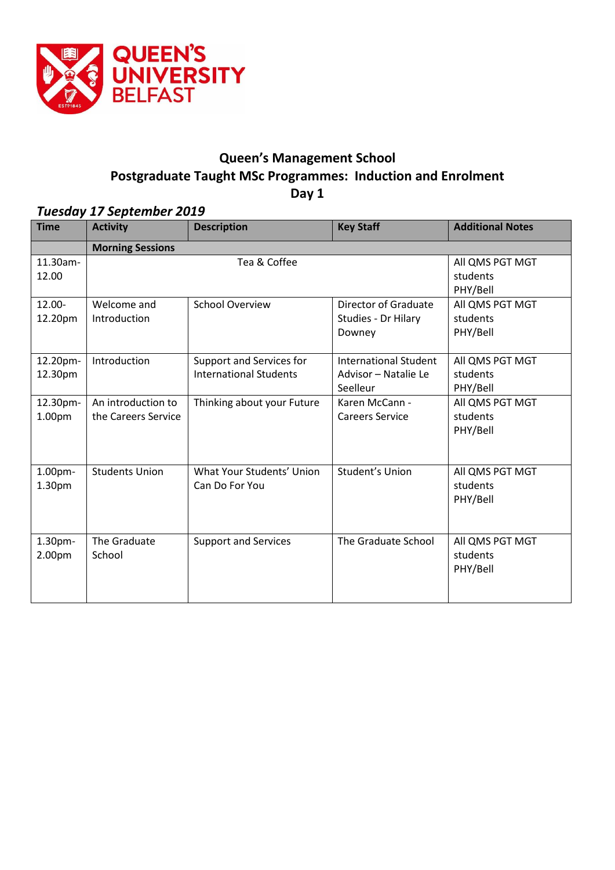

# **Queen's Management School Postgraduate Taught MSc Programmes: Induction and Enrolment**

**Day 1**

### *Tuesday 17 September 2019*

| <b>Time</b>         | <b>Activity</b>                           | <b>Description</b>                                        | <b>Key Staff</b>                                                 | <b>Additional Notes</b>                 |  |
|---------------------|-------------------------------------------|-----------------------------------------------------------|------------------------------------------------------------------|-----------------------------------------|--|
|                     | <b>Morning Sessions</b>                   |                                                           |                                                                  |                                         |  |
| 11.30am-<br>12.00   | Tea & Coffee                              |                                                           |                                                                  | All QMS PGT MGT<br>students<br>PHY/Bell |  |
| 12.00-<br>12.20pm   | Welcome and<br>Introduction               | <b>School Overview</b>                                    | Director of Graduate<br>Studies - Dr Hilary<br>Downey            | All QMS PGT MGT<br>students<br>PHY/Bell |  |
| 12.20pm-<br>12.30pm | Introduction                              | Support and Services for<br><b>International Students</b> | <b>International Student</b><br>Advisor - Natalie Le<br>Seelleur | All QMS PGT MGT<br>students<br>PHY/Bell |  |
| 12.30pm-<br>1.00pm  | An introduction to<br>the Careers Service | Thinking about your Future                                | Karen McCann -<br><b>Careers Service</b>                         | All QMS PGT MGT<br>students<br>PHY/Bell |  |
| 1.00pm-<br>1.30pm   | <b>Students Union</b>                     | What Your Students' Union<br>Can Do For You               | Student's Union                                                  | All QMS PGT MGT<br>students<br>PHY/Bell |  |
| 1.30pm-<br>2.00pm   | The Graduate<br>School                    | <b>Support and Services</b>                               | The Graduate School                                              | All QMS PGT MGT<br>students<br>PHY/Bell |  |